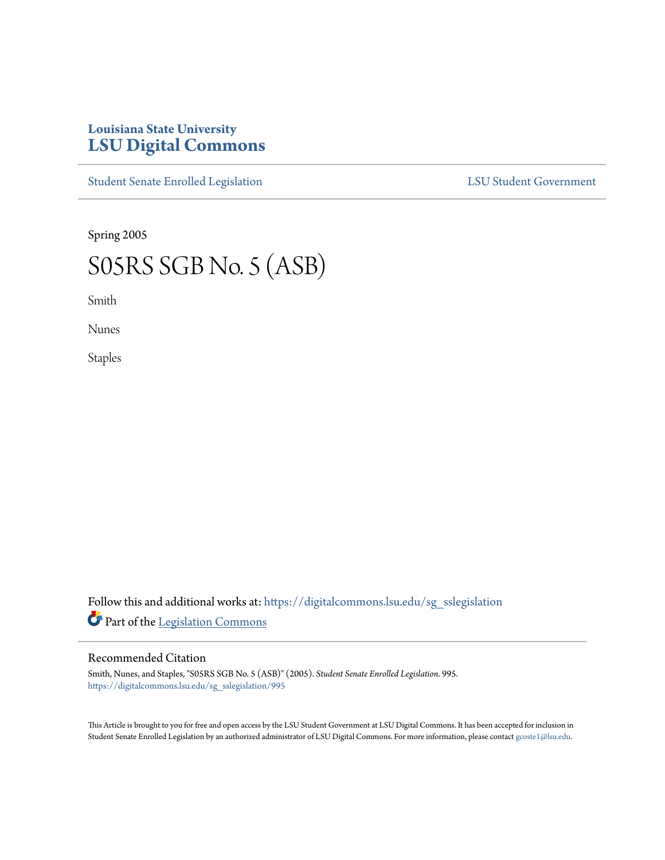## **Louisiana State University [LSU Digital Commons](https://digitalcommons.lsu.edu?utm_source=digitalcommons.lsu.edu%2Fsg_sslegislation%2F995&utm_medium=PDF&utm_campaign=PDFCoverPages)**

[Student Senate Enrolled Legislation](https://digitalcommons.lsu.edu/sg_sslegislation?utm_source=digitalcommons.lsu.edu%2Fsg_sslegislation%2F995&utm_medium=PDF&utm_campaign=PDFCoverPages) [LSU Student Government](https://digitalcommons.lsu.edu/sg?utm_source=digitalcommons.lsu.edu%2Fsg_sslegislation%2F995&utm_medium=PDF&utm_campaign=PDFCoverPages)

Spring 2005

## S05RS SGB No. 5 (ASB)

Smith

Nunes

Staples

Follow this and additional works at: [https://digitalcommons.lsu.edu/sg\\_sslegislation](https://digitalcommons.lsu.edu/sg_sslegislation?utm_source=digitalcommons.lsu.edu%2Fsg_sslegislation%2F995&utm_medium=PDF&utm_campaign=PDFCoverPages) Part of the [Legislation Commons](http://network.bepress.com/hgg/discipline/859?utm_source=digitalcommons.lsu.edu%2Fsg_sslegislation%2F995&utm_medium=PDF&utm_campaign=PDFCoverPages)

## Recommended Citation

Smith, Nunes, and Staples, "S05RS SGB No. 5 (ASB)" (2005). *Student Senate Enrolled Legislation*. 995. [https://digitalcommons.lsu.edu/sg\\_sslegislation/995](https://digitalcommons.lsu.edu/sg_sslegislation/995?utm_source=digitalcommons.lsu.edu%2Fsg_sslegislation%2F995&utm_medium=PDF&utm_campaign=PDFCoverPages)

This Article is brought to you for free and open access by the LSU Student Government at LSU Digital Commons. It has been accepted for inclusion in Student Senate Enrolled Legislation by an authorized administrator of LSU Digital Commons. For more information, please contact [gcoste1@lsu.edu.](mailto:gcoste1@lsu.edu)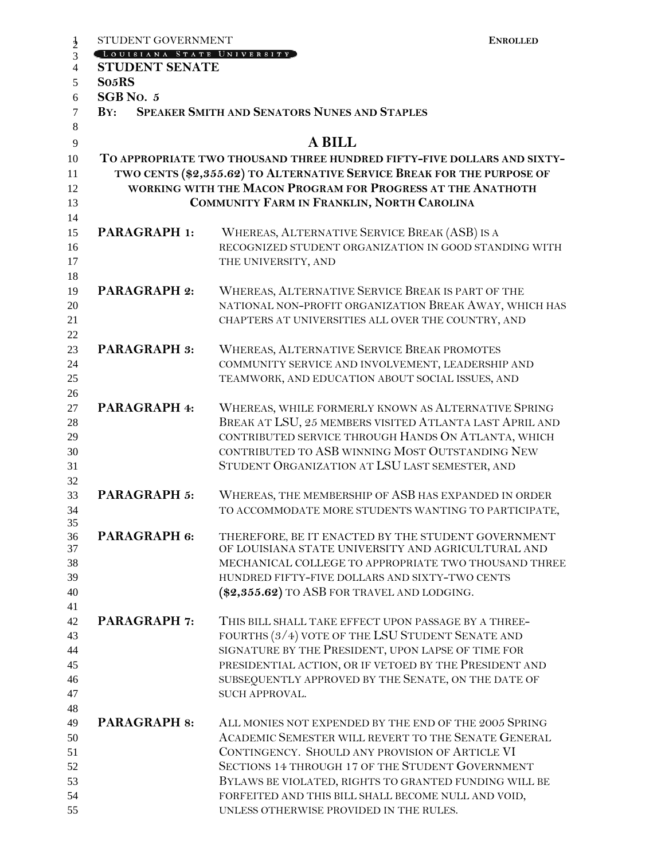| STUDENT GOVERNMENT         | <b>ENROLLED</b>                                                         |
|----------------------------|-------------------------------------------------------------------------|
| LOUISIANA STATE UNIVERSITY |                                                                         |
| <b>STUDENT SENATE</b>      |                                                                         |
| So <sub>5</sub> RS         |                                                                         |
| SGB No. 5                  |                                                                         |
| $\mathbf{B} \mathbf{Y}$ :  | <b>SPEAKER SMITH AND SENATORS NUNES AND STAPLES</b>                     |
|                            |                                                                         |
|                            | <b>A BILL</b>                                                           |
|                            | TO APPROPRIATE TWO THOUSAND THREE HUNDRED FIFTY-FIVE DOLLARS AND SIXTY- |
|                            | TWO CENTS (\$2,355.62) TO ALTERNATIVE SERVICE BREAK FOR THE PURPOSE OF  |
|                            | WORKING WITH THE MACON PROGRAM FOR PROGRESS AT THE ANATHOTH             |
|                            | COMMUNITY FARM IN FRANKLIN, NORTH CAROLINA                              |
|                            |                                                                         |
| <b>PARAGRAPH 1:</b>        | WHEREAS, ALTERNATIVE SERVICE BREAK (ASB) IS A                           |
|                            | RECOGNIZED STUDENT ORGANIZATION IN GOOD STANDING WITH                   |
|                            | THE UNIVERSITY, AND                                                     |
| <b>PARAGRAPH 2:</b>        | WHEREAS, ALTERNATIVE SERVICE BREAK IS PART OF THE                       |
|                            | NATIONAL NON-PROFIT ORGANIZATION BREAK AWAY, WHICH HAS                  |
|                            | CHAPTERS AT UNIVERSITIES ALL OVER THE COUNTRY, AND                      |
|                            |                                                                         |
| <b>PARAGRAPH 3:</b>        | WHEREAS, ALTERNATIVE SERVICE BREAK PROMOTES                             |
|                            | COMMUNITY SERVICE AND INVOLVEMENT, LEADERSHIP AND                       |
|                            | TEAMWORK, AND EDUCATION ABOUT SOCIAL ISSUES, AND                        |
|                            |                                                                         |
| PARAGRAPH 4:               | WHEREAS, WHILE FORMERLY KNOWN AS ALTERNATIVE SPRING                     |
|                            | BREAK AT LSU, 25 MEMBERS VISITED ATLANTA LAST APRIL AND                 |
|                            | CONTRIBUTED SERVICE THROUGH HANDS ON ATLANTA, WHICH                     |
|                            | CONTRIBUTED TO ASB WINNING MOST OUTSTANDING NEW                         |
|                            | STUDENT ORGANIZATION AT LSU LAST SEMESTER, AND                          |
|                            |                                                                         |
| <b>PARAGRAPH 5:</b>        | WHEREAS, THE MEMBERSHIP OF ASB HAS EXPANDED IN ORDER                    |
|                            | TO ACCOMMODATE MORE STUDENTS WANTING TO PARTICIPATE,                    |
| PARAGRAPH 6:               | THEREFORE, BE IT ENACTED BY THE STUDENT GOVERNMENT                      |
|                            | OF LOUISIANA STATE UNIVERSITY AND AGRICULTURAL AND                      |
|                            | MECHANICAL COLLEGE TO APPROPRIATE TWO THOUSAND THREE                    |
|                            | HUNDRED FIFTY-FIVE DOLLARS AND SIXTY-TWO CENTS                          |
|                            | $(\$2,355.62)$ to ASB for travel and lodging.                           |
|                            |                                                                         |
| <b>PARAGRAPH 7:</b>        | THIS BILL SHALL TAKE EFFECT UPON PASSAGE BY A THREE-                    |
|                            | FOURTHS (3/4) VOTE OF THE LSU STUDENT SENATE AND                        |
|                            | SIGNATURE BY THE PRESIDENT, UPON LAPSE OF TIME FOR                      |
|                            | PRESIDENTIAL ACTION, OR IF VETOED BY THE PRESIDENT AND                  |
|                            | SUBSEQUENTLY APPROVED BY THE SENATE, ON THE DATE OF                     |
|                            | SUCH APPROVAL.                                                          |
|                            |                                                                         |
| <b>PARAGRAPH 8:</b>        | ALL MONIES NOT EXPENDED BY THE END OF THE 2005 SPRING                   |
|                            | ACADEMIC SEMESTER WILL REVERT TO THE SENATE GENERAL                     |
|                            | CONTINGENCY. SHOULD ANY PROVISION OF ARTICLE VI                         |
|                            | SECTIONS 14 THROUGH 17 OF THE STUDENT GOVERNMENT                        |
|                            | BYLAWS BE VIOLATED, RIGHTS TO GRANTED FUNDING WILL BE                   |
|                            | FORFEITED AND THIS BILL SHALL BECOME NULL AND VOID,                     |
|                            | UNLESS OTHERWISE PROVIDED IN THE RULES.                                 |